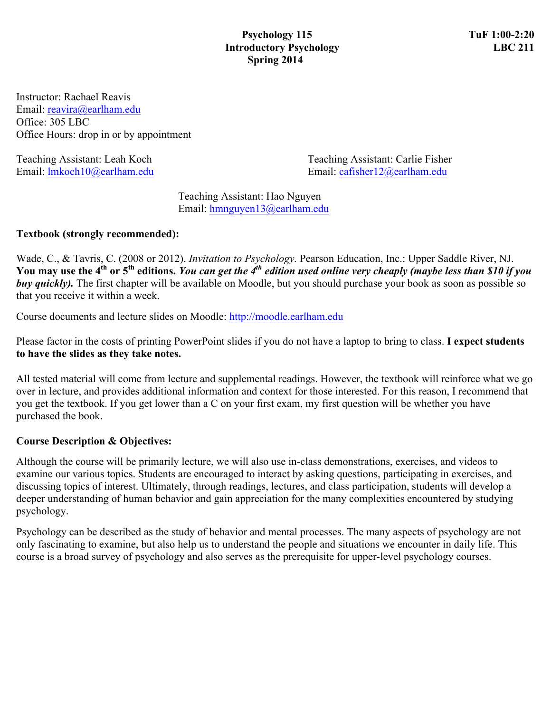Instructor: Rachael Reavis Email: reavira@earlham.edu Office: 305 LBC Office Hours: drop in or by appointment

Teaching Assistant: Leah Koch Teaching Assistant: Carlie Fisher Email: lmkoch10@earlham.edu Email: cafisher12@earlham.edu

> Teaching Assistant: Hao Nguyen Email: hmnguyen13@earlham.edu

### **Textbook (strongly recommended):**

Wade, C., & Tavris, C. (2008 or 2012). *Invitation to Psychology.* Pearson Education, Inc.: Upper Saddle River, NJ. **You may use the 4th or 5th editions.** *You can get the 4th edition used online very cheaply (maybe less than \$10 if you buy quickly*. The first chapter will be available on Moodle, but you should purchase your book as soon as possible so that you receive it within a week.

Course documents and lecture slides on Moodle: http://moodle.earlham.edu

Please factor in the costs of printing PowerPoint slides if you do not have a laptop to bring to class. **I expect students to have the slides as they take notes.** 

All tested material will come from lecture and supplemental readings. However, the textbook will reinforce what we go over in lecture, and provides additional information and context for those interested. For this reason, I recommend that you get the textbook. If you get lower than a C on your first exam, my first question will be whether you have purchased the book.

### **Course Description & Objectives:**

Although the course will be primarily lecture, we will also use in-class demonstrations, exercises, and videos to examine our various topics. Students are encouraged to interact by asking questions, participating in exercises, and discussing topics of interest. Ultimately, through readings, lectures, and class participation, students will develop a deeper understanding of human behavior and gain appreciation for the many complexities encountered by studying psychology.

Psychology can be described as the study of behavior and mental processes. The many aspects of psychology are not only fascinating to examine, but also help us to understand the people and situations we encounter in daily life. This course is a broad survey of psychology and also serves as the prerequisite for upper-level psychology courses.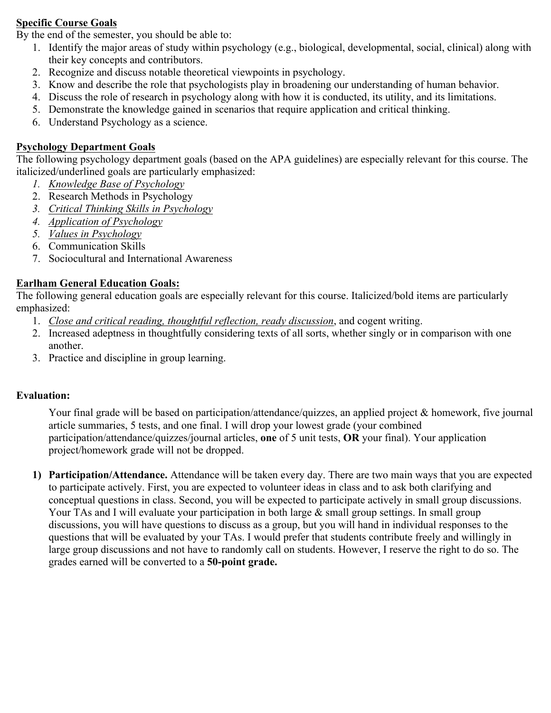### **Specific Course Goals**

By the end of the semester, you should be able to:

- 1. Identify the major areas of study within psychology (e.g., biological, developmental, social, clinical) along with their key concepts and contributors.
- 2. Recognize and discuss notable theoretical viewpoints in psychology.
- 3. Know and describe the role that psychologists play in broadening our understanding of human behavior.
- 4. Discuss the role of research in psychology along with how it is conducted, its utility, and its limitations.
- 5. Demonstrate the knowledge gained in scenarios that require application and critical thinking.
- 6. Understand Psychology as a science.

## **Psychology Department Goals**

The following psychology department goals (based on the APA guidelines) are especially relevant for this course. The italicized/underlined goals are particularly emphasized:

- *1. Knowledge Base of Psychology*
- 2. Research Methods in Psychology
- *3. Critical Thinking Skills in Psychology*
- *4. Application of Psychology*
- *5. Values in Psychology*
- 6. Communication Skills
- 7. Sociocultural and International Awareness

### **Earlham General Education Goals:**

The following general education goals are especially relevant for this course. Italicized/bold items are particularly emphasized:

- 1. *Close and critical reading, thoughtful reflection, ready discussion*, and cogent writing.
- 2. Increased adeptness in thoughtfully considering texts of all sorts, whether singly or in comparison with one another.
- 3. Practice and discipline in group learning.

### **Evaluation:**

Your final grade will be based on participation/attendance/quizzes, an applied project & homework, five journal article summaries, 5 tests, and one final. I will drop your lowest grade (your combined participation/attendance/quizzes/journal articles, **one** of 5 unit tests, **OR** your final). Your application project/homework grade will not be dropped.

**1) Participation/Attendance.** Attendance will be taken every day. There are two main ways that you are expected to participate actively. First, you are expected to volunteer ideas in class and to ask both clarifying and conceptual questions in class. Second, you will be expected to participate actively in small group discussions. Your TAs and I will evaluate your participation in both large  $\&$  small group settings. In small group discussions, you will have questions to discuss as a group, but you will hand in individual responses to the questions that will be evaluated by your TAs. I would prefer that students contribute freely and willingly in large group discussions and not have to randomly call on students. However, I reserve the right to do so. The grades earned will be converted to a **50-point grade.**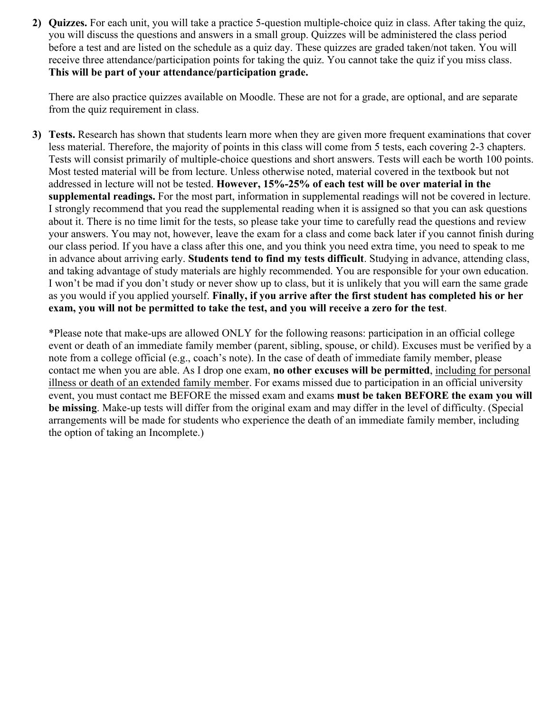**2) Quizzes.** For each unit, you will take a practice 5-question multiple-choice quiz in class. After taking the quiz, you will discuss the questions and answers in a small group. Quizzes will be administered the class period before a test and are listed on the schedule as a quiz day. These quizzes are graded taken/not taken. You will receive three attendance/participation points for taking the quiz. You cannot take the quiz if you miss class. **This will be part of your attendance/participation grade.**

There are also practice quizzes available on Moodle. These are not for a grade, are optional, and are separate from the quiz requirement in class.

**3) Tests.** Research has shown that students learn more when they are given more frequent examinations that cover less material. Therefore, the majority of points in this class will come from 5 tests, each covering 2-3 chapters. Tests will consist primarily of multiple-choice questions and short answers. Tests will each be worth 100 points. Most tested material will be from lecture. Unless otherwise noted, material covered in the textbook but not addressed in lecture will not be tested. **However, 15%-25% of each test will be over material in the supplemental readings.** For the most part, information in supplemental readings will not be covered in lecture. I strongly recommend that you read the supplemental reading when it is assigned so that you can ask questions about it. There is no time limit for the tests, so please take your time to carefully read the questions and review your answers. You may not, however, leave the exam for a class and come back later if you cannot finish during our class period. If you have a class after this one, and you think you need extra time, you need to speak to me in advance about arriving early. **Students tend to find my tests difficult**. Studying in advance, attending class, and taking advantage of study materials are highly recommended. You are responsible for your own education. I won't be mad if you don't study or never show up to class, but it is unlikely that you will earn the same grade as you would if you applied yourself. **Finally, if you arrive after the first student has completed his or her exam, you will not be permitted to take the test, and you will receive a zero for the test**.

\*Please note that make-ups are allowed ONLY for the following reasons: participation in an official college event or death of an immediate family member (parent, sibling, spouse, or child). Excuses must be verified by a note from a college official (e.g., coach's note). In the case of death of immediate family member, please contact me when you are able. As I drop one exam, **no other excuses will be permitted**, including for personal illness or death of an extended family member. For exams missed due to participation in an official university event, you must contact me BEFORE the missed exam and exams **must be taken BEFORE the exam you will be missing**. Make-up tests will differ from the original exam and may differ in the level of difficulty. (Special arrangements will be made for students who experience the death of an immediate family member, including the option of taking an Incomplete.)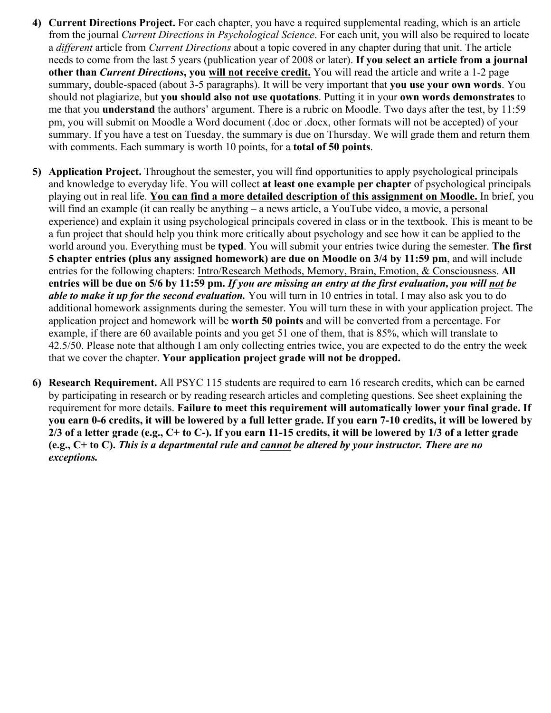- **4) Current Directions Project.** For each chapter, you have a required supplemental reading, which is an article from the journal *Current Directions in Psychological Science*. For each unit, you will also be required to locate a *different* article from *Current Directions* about a topic covered in any chapter during that unit. The article needs to come from the last 5 years (publication year of 2008 or later). **If you select an article from a journal other than** *Current Directions***, you will not receive credit.** You will read the article and write a 1-2 page summary, double-spaced (about 3-5 paragraphs). It will be very important that **you use your own words**. You should not plagiarize, but **you should also not use quotations**. Putting it in your **own words demonstrates** to me that you **understand** the authors' argument. There is a rubric on Moodle. Two days after the test, by 11:59 pm, you will submit on Moodle a Word document (.doc or .docx, other formats will not be accepted) of your summary. If you have a test on Tuesday, the summary is due on Thursday. We will grade them and return them with comments. Each summary is worth 10 points, for a **total of 50 points**.
- **5) Application Project.** Throughout the semester, you will find opportunities to apply psychological principals and knowledge to everyday life. You will collect **at least one example per chapter** of psychological principals playing out in real life. **You can find a more detailed description of this assignment on Moodle.** In brief, you will find an example (it can really be anything – a news article, a YouTube video, a movie, a personal experience) and explain it using psychological principals covered in class or in the textbook. This is meant to be a fun project that should help you think more critically about psychology and see how it can be applied to the world around you. Everything must be **typed**. You will submit your entries twice during the semester. **The first 5 chapter entries (plus any assigned homework) are due on Moodle on 3/4 by 11:59 pm**, and will include entries for the following chapters: Intro/Research Methods, Memory, Brain, Emotion, & Consciousness. **All entries will be due on 5/6 by 11:59 pm.** *If you are missing an entry at the first evaluation, you will not be able to make it up for the second evaluation.* You will turn in 10 entries in total. I may also ask you to do additional homework assignments during the semester. You will turn these in with your application project. The application project and homework will be **worth 50 points** and will be converted from a percentage. For example, if there are 60 available points and you get 51 one of them, that is 85%, which will translate to 42.5/50. Please note that although I am only collecting entries twice, you are expected to do the entry the week that we cover the chapter. **Your application project grade will not be dropped.**
- **6) Research Requirement.** All PSYC 115 students are required to earn 16 research credits, which can be earned by participating in research or by reading research articles and completing questions. See sheet explaining the requirement for more details. **Failure to meet this requirement will automatically lower your final grade. If you earn 0-6 credits, it will be lowered by a full letter grade. If you earn 7-10 credits, it will be lowered by 2/3 of a letter grade (e.g., C+ to C-). If you earn 11-15 credits, it will be lowered by 1/3 of a letter grade (e.g., C+ to C).** *This is a departmental rule and cannot be altered by your instructor. There are no exceptions.*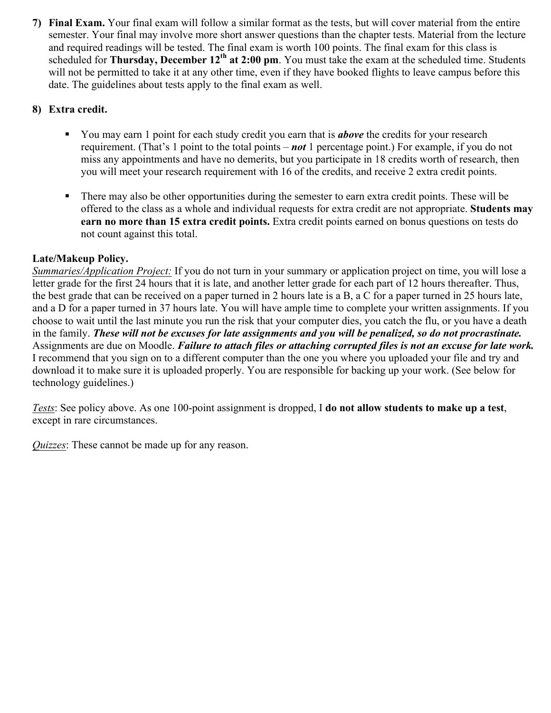**7) Final Exam.** Your final exam will follow a similar format as the tests, but will cover material from the entire semester. Your final may involve more short answer questions than the chapter tests. Material from the lecture and required readings will be tested. The final exam is worth 100 points. The final exam for this class is scheduled for **Thursday, December 12<sup>th</sup> at 2:00 pm**. You must take the exam at the scheduled time. Students will not be permitted to take it at any other time, even if they have booked flights to leave campus before this date. The guidelines about tests apply to the final exam as well.

# **8) Extra credit.**

- You may earn 1 point for each study credit you earn that is *above* the credits for your research requirement. (That's 1 point to the total points – *not* 1 percentage point.) For example, if you do not miss any appointments and have no demerits, but you participate in 18 credits worth of research, then you will meet your research requirement with 16 of the credits, and receive 2 extra credit points.
- § There may also be other opportunities during the semester to earn extra credit points. These will be offered to the class as a whole and individual requests for extra credit are not appropriate. **Students may earn no more than 15 extra credit points.** Extra credit points earned on bonus questions on tests do not count against this total.

# **Late/Makeup Policy.**

*Summaries/Application Project:* If you do not turn in your summary or application project on time, you will lose a letter grade for the first 24 hours that it is late, and another letter grade for each part of 12 hours thereafter. Thus, the best grade that can be received on a paper turned in 2 hours late is a B, a C for a paper turned in 25 hours late, and a D for a paper turned in 37 hours late. You will have ample time to complete your written assignments. If you choose to wait until the last minute you run the risk that your computer dies, you catch the flu, or you have a death in the family. *These will not be excuses for late assignments and you will be penalized, so do not procrastinate.* Assignments are due on Moodle. *Failure to attach files or attaching corrupted files is not an excuse for late work.* I recommend that you sign on to a different computer than the one you where you uploaded your file and try and download it to make sure it is uploaded properly. You are responsible for backing up your work. (See below for technology guidelines.)

*Tests*: See policy above. As one 100-point assignment is dropped, I **do not allow students to make up a test**, except in rare circumstances.

*Quizzes*: These cannot be made up for any reason.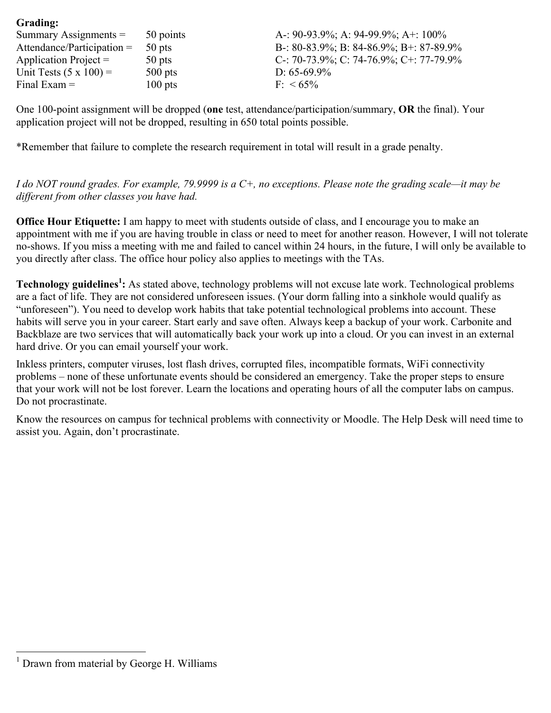| 50 points | A-: 90-93.9%; A: 94-99.9%; A+: 100%     |
|-----------|-----------------------------------------|
| 50 pts    | B-: 80-83.9%; B: 84-86.9%; B+: 87-89.9% |
| 50 pts    | C-: 70-73.9%; C: 74-76.9%; C+: 77-79.9% |
| $500$ pts | D: $65-69.9\%$                          |
| $100$ pts | $F \le 65\%$                            |
|           |                                         |

One 100-point assignment will be dropped (**one** test, attendance/participation/summary, **OR** the final). Your application project will not be dropped, resulting in 650 total points possible.

\*Remember that failure to complete the research requirement in total will result in a grade penalty.

*I do NOT round grades. For example, 79.9999 is a C+, no exceptions. Please note the grading scale—it may be different from other classes you have had.* 

**Office Hour Etiquette:** I am happy to meet with students outside of class, and I encourage you to make an appointment with me if you are having trouble in class or need to meet for another reason. However, I will not tolerate no-shows. If you miss a meeting with me and failed to cancel within 24 hours, in the future, I will only be available to you directly after class. The office hour policy also applies to meetings with the TAs.

**Technology guidelines<sup>1</sup> :** As stated above, technology problems will not excuse late work. Technological problems are a fact of life. They are not considered unforeseen issues. (Your dorm falling into a sinkhole would qualify as "unforeseen"). You need to develop work habits that take potential technological problems into account. These habits will serve you in your career. Start early and save often. Always keep a backup of your work. Carbonite and Backblaze are two services that will automatically back your work up into a cloud. Or you can invest in an external hard drive. Or you can email yourself your work.

Inkless printers, computer viruses, lost flash drives, corrupted files, incompatible formats, WiFi connectivity problems – none of these unfortunate events should be considered an emergency. Take the proper steps to ensure that your work will not be lost forever. Learn the locations and operating hours of all the computer labs on campus. Do not procrastinate.

Know the resources on campus for technical problems with connectivity or Moodle. The Help Desk will need time to assist you. Again, don't procrastinate.

**Grading:**

<sup>&</sup>lt;sup>1</sup> Drawn from material by George H. Williams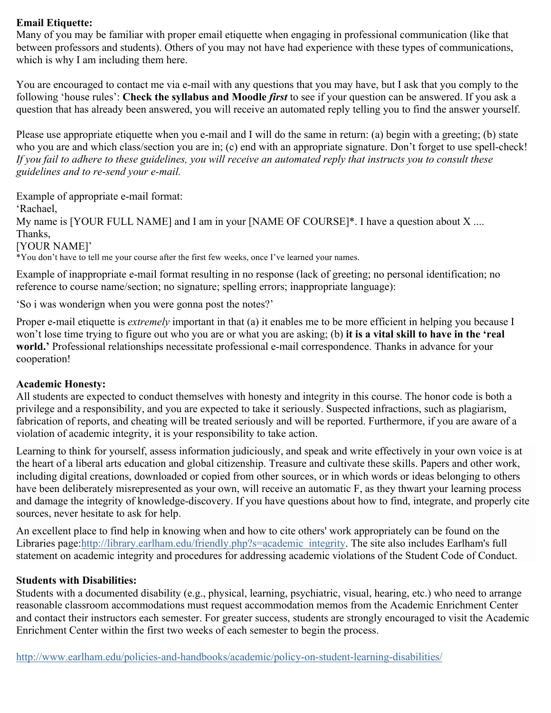## **Email Etiquette:**

Many of you may be familiar with proper email etiquette when engaging in professional communication (like that between professors and students). Others of you may not have had experience with these types of communications, which is why I am including them here.

You are encouraged to contact me via e-mail with any questions that you may have, but I ask that you comply to the following 'house rules': **Check the syllabus and Moodle** *first* to see if your question can be answered. If you ask a question that has already been answered, you will receive an automated reply telling you to find the answer yourself.

Please use appropriate etiquette when you e-mail and I will do the same in return: (a) begin with a greeting; (b) state who you are and which class/section you are in; (c) end with an appropriate signature. Don't forget to use spell-check! *If you fail to adhere to these guidelines, you will receive an automated reply that instructs you to consult these guidelines and to re-send your e-mail.*

Example of appropriate e-mail format:

'Rachael,

My name is [YOUR FULL NAME] and I am in your [NAME OF COURSE]\*. I have a question about  $X$  .... Thanks,

[YOUR NAME]'

\*You don't have to tell me your course after the first few weeks, once I've learned your names.

Example of inappropriate e-mail format resulting in no response (lack of greeting; no personal identification; no reference to course name/section; no signature; spelling errors; inappropriate language):

'So i was wonderign when you were gonna post the notes?'

Proper e-mail etiquette is *extremely* important in that (a) it enables me to be more efficient in helping you because I won't lose time trying to figure out who you are or what you are asking; (b) **it is a vital skill to have in the 'real world.'** Professional relationships necessitate professional e-mail correspondence. Thanks in advance for your cooperation!

### **Academic Honesty:**

All students are expected to conduct themselves with honesty and integrity in this course. The honor code is both a privilege and a responsibility, and you are expected to take it seriously. Suspected infractions, such as plagiarism, fabrication of reports, and cheating will be treated seriously and will be reported. Furthermore, if you are aware of a violation of academic integrity, it is your responsibility to take action.

Learning to think for yourself, assess information judiciously, and speak and write effectively in your own voice is at the heart of a liberal arts education and global citizenship. Treasure and cultivate these skills. Papers and other work, including digital creations, downloaded or copied from other sources, or in which words or ideas belonging to others have been deliberately misrepresented as your own, will receive an automatic F, as they thwart your learning process and damage the integrity of knowledge-discovery. If you have questions about how to find, integrate, and properly cite sources, never hesitate to ask for help.

An excellent place to find help in knowing when and how to cite others' work appropriately can be found on the Libraries page:http://library.earlham.edu/friendly.php?s=academic\_integrity. The site also includes Earlham's full statement on academic integrity and procedures for addressing academic violations of the Student Code of Conduct.

### **Students with Disabilities:**

Students with a documented disability (e.g., physical, learning, psychiatric, visual, hearing, etc.) who need to arrange reasonable classroom accommodations must request accommodation memos from the Academic Enrichment Center and contact their instructors each semester. For greater success, students are strongly encouraged to visit the Academic Enrichment Center within the first two weeks of each semester to begin the process.

http://www.earlham.edu/policies-and-handbooks/academic/policy-on-student-learning-disabilities/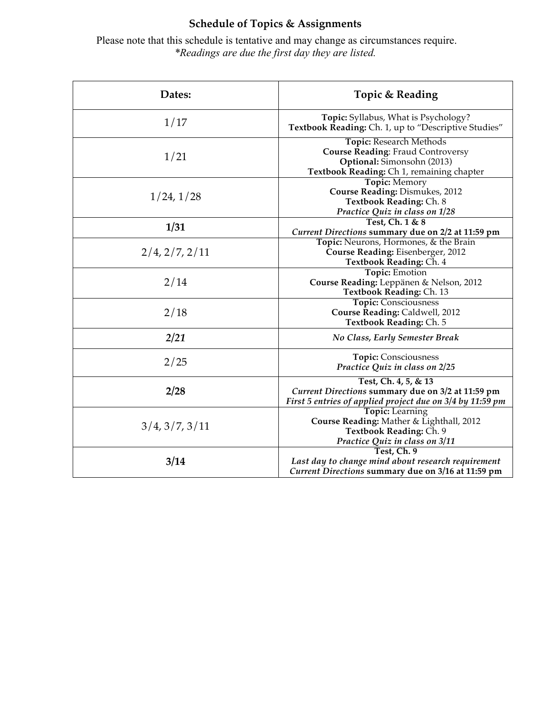# **Schedule of Topics & Assignments**

Please note that this schedule is tentative and may change as circumstances require. *\*Readings are due the first day they are listed.*

| Dates:         | Topic & Reading                                                                                                                                |
|----------------|------------------------------------------------------------------------------------------------------------------------------------------------|
| 1/17           | Topic: Syllabus, What is Psychology?<br>Textbook Reading: Ch. 1, up to "Descriptive Studies"                                                   |
| 1/21           | Topic: Research Methods<br><b>Course Reading: Fraud Controversy</b><br>Optional: Simonsohn (2013)<br>Textbook Reading: Ch 1, remaining chapter |
| 1/24, 1/28     | Topic: Memory<br>Course Reading: Dismukes, 2012<br>Textbook Reading: Ch. 8<br>Practice Quiz in class on 1/28                                   |
| 1/31           | Test, Ch. 1 & 8<br>Current Directions summary due on 2/2 at 11:59 pm                                                                           |
| 2/4, 2/7, 2/11 | Topic: Neurons, Hormones, & the Brain<br>Course Reading: Eisenberger, 2012<br>Textbook Reading: Ch. 4                                          |
| 2/14           | <b>Topic: Emotion</b><br>Course Reading: Leppänen & Nelson, 2012<br>Textbook Reading: Ch. 13                                                   |
| 2/18           | <b>Topic: Consciousness</b><br>Course Reading: Caldwell, 2012<br>Textbook Reading: Ch. 5                                                       |
| 2/21           | <b>No Class, Early Semester Break</b>                                                                                                          |
| 2/25           | <b>Topic: Consciousness</b><br>Practice Quiz in class on 2/25                                                                                  |
| 2/28           | Test, Ch. 4, 5, & 13<br>Current Directions summary due on 3/2 at 11:59 pm<br>First 5 entries of applied project due on 3/4 by 11:59 pm         |
| 3/4, 3/7, 3/11 | <b>Topic:</b> Learning<br>Course Reading: Mather & Lighthall, 2012<br>Textbook Reading: Ch. 9<br>Practice Quiz in class on 3/11                |
| 3/14           | Test, Ch. 9<br>Last day to change mind about research requirement<br>Current Directions summary due on 3/16 at 11:59 pm                        |